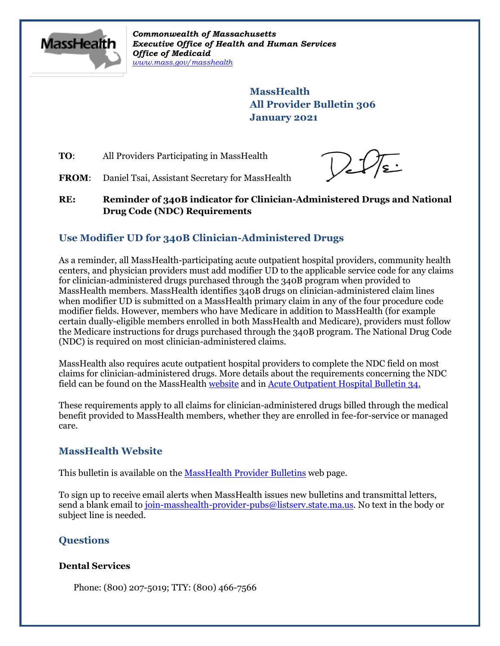

*Commonwealth of Massachusetts Executive Office of Health and Human Services Office of Medicaid [www.mass.gov/masshealth](http://www.mass.gov/masshealth)*

> **MassHealth All Provider Bulletin 306 January 2021**

**TO:** All Providers Participating in MassHealth

 $V_{eff}$ 

FROM: Daniel Tsai, Assistant Secretary for MassHealth

**RE: Reminder of 340B indicator for Clinician-Administered Drugs and National Drug Code (NDC) Requirements**

# **Use Modifier UD for 340B Clinician-Administered Drugs**

As a reminder, all MassHealth-participating acute outpatient hospital providers, community health centers, and physician providers must add modifier UD to the applicable service code for any claims for clinician-administered drugs purchased through the 340B program when provided to MassHealth members. MassHealth identifies 340B drugs on clinician-administered claim lines when modifier UD is submitted on a MassHealth primary claim in any of the four procedure code modifier fields. However, members who have Medicare in addition to MassHealth (for example certain dually-eligible members enrolled in both MassHealth and Medicare), providers must follow the Medicare instructions for drugs purchased through the 340B program. The National Drug Code (NDC) is required on most clinician-administered claims.

MassHealth also requires acute outpatient hospital providers to complete the NDC field on most claims for clinician-administered drugs. More details about the requirements concerning the NDC field can be found on the MassHealt[h website](https://www.mass.gov/service-details/learn-about-national-drug-code-ndc-requirements) and in [Acute Outpatient Hospital Bulletin 34.](https://www.mass.gov/doc/acute-outpatient-hospital-bulletin-34-new-requirements-for-completion-of-data-fields-on-0/download)

These requirements apply to all claims for clinician-administered drugs billed through the medical benefit provided to MassHealth members, whether they are enrolled in fee-for-service or managed care.

## **MassHealth Website**

This bulletin is available on th[e MassHealth Provider Bulletins](http://www.mass.gov/masshealth-provider-bulletins) web page.

To sign up to receive email alerts when MassHealth issues new bulletins and transmittal letters, send a blank email to [join-masshealth-provider-pubs@listserv.state.ma.us.](mailto:join-masshealth-provider-pubs@listserv.state.ma.us) No text in the body or subject line is needed.

## **Questions**

### **Dental Services**

Phone: (800) 207-5019; TTY: (800) 466-7566